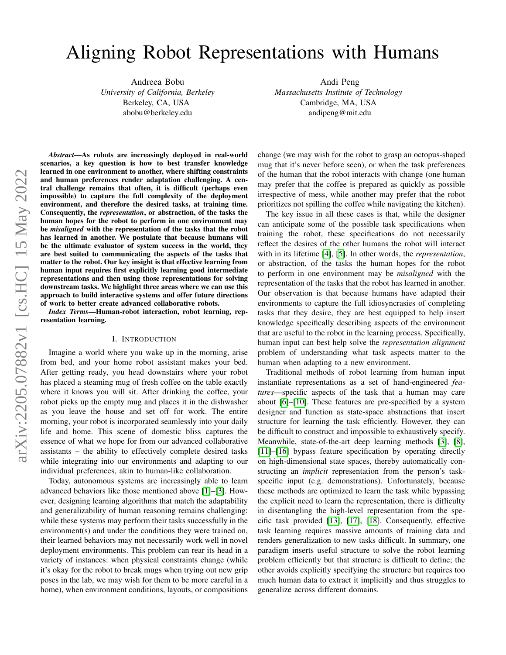# Aligning Robot Representations with Humans

Andreea Bobu *University of California, Berkeley* Berkeley, CA, USA abobu@berkeley.edu

Andi Peng *Massachusetts Institute of Technology* Cambridge, MA, USA andipeng@mit.edu

*Abstract*—As robots are increasingly deployed in real-world scenarios, a key question is how to best transfer knowledge learned in one environment to another, where shifting constraints and human preferences render adaptation challenging. A central challenge remains that often, it is difficult (perhaps even impossible) to capture the full complexity of the deployment environment, and therefore the desired tasks, at training time. Consequently, the *representation*, or abstraction, of the tasks the human hopes for the robot to perform in one environment may be *misaligned* with the representation of the tasks that the robot has learned in another. We postulate that because humans will be the ultimate evaluator of system success in the world, they are best suited to communicating the aspects of the tasks that matter to the robot. Our key insight is that effective learning from human input requires first explicitly learning good intermediate representations and then using those representations for solving downstream tasks. We highlight three areas where we can use this approach to build interactive systems and offer future directions of work to better create advanced collaborative robots.

*Index Terms*—Human-robot interaction, robot learning, representation learning.

#### I. INTRODUCTION

Imagine a world where you wake up in the morning, arise from bed, and your home robot assistant makes your bed. After getting ready, you head downstairs where your robot has placed a steaming mug of fresh coffee on the table exactly where it knows you will sit. After drinking the coffee, your robot picks up the empty mug and places it in the dishwasher as you leave the house and set off for work. The entire morning, your robot is incorporated seamlessly into your daily life and home. This scene of domestic bliss captures the essence of what we hope for from our advanced collaborative assistants – the ability to effectively complete desired tasks while integrating into our environments and adapting to our individual preferences, akin to human-like collaboration.

Today, autonomous systems are increasingly able to learn advanced behaviors like those mentioned above [\[1\]](#page-4-0)–[\[3\]](#page-4-1). However, designing learning algorithms that match the adaptability and generalizability of human reasoning remains challenging: while these systems may perform their tasks successfully in the environment(s) and under the conditions they were trained on, their learned behaviors may not necessarily work well in novel deployment environments. This problem can rear its head in a variety of instances: when physical constraints change (while it's okay for the robot to break mugs when trying out new grip poses in the lab, we may wish for them to be more careful in a home), when environment conditions, layouts, or compositions change (we may wish for the robot to grasp an octopus-shaped mug that it's never before seen), or when the task preferences of the human that the robot interacts with change (one human may prefer that the coffee is prepared as quickly as possible irrespective of mess, while another may prefer that the robot prioritizes not spilling the coffee while navigating the kitchen).

The key issue in all these cases is that, while the designer can anticipate some of the possible task specifications when training the robot, these specifications do not necessarily reflect the desires of the other humans the robot will interact with in its lifetime [\[4\]](#page-4-2), [\[5\]](#page-4-3). In other words, the *representation*, or abstraction, of the tasks the human hopes for the robot to perform in one environment may be *misaligned* with the representation of the tasks that the robot has learned in another. Our observation is that because humans have adapted their environments to capture the full idiosyncrasies of completing tasks that they desire, they are best equipped to help insert knowledge specifically describing aspects of the environment that are useful to the robot in the learning process. Specifically, human input can best help solve the *representation alignment* problem of understanding what task aspects matter to the human when adapting to a new environment.

Traditional methods of robot learning from human input instantiate representations as a set of hand-engineered *features*—specific aspects of the task that a human may care about [\[6\]](#page-4-4)–[\[10\]](#page-4-5). These features are pre-specified by a system designer and function as state-space abstractions that insert structure for learning the task efficiently. However, they can be difficult to construct and impossible to exhaustively specify. Meanwhile, state-of-the-art deep learning methods [\[3\]](#page-4-1), [\[8\]](#page-4-6), [\[11\]](#page-4-7)–[\[16\]](#page-4-8) bypass feature specification by operating directly on high-dimensional state spaces, thereby automatically constructing an *implicit* representation from the person's taskspecific input (e.g. demonstrations). Unfortunately, because these methods are optimized to learn the task while bypassing the explicit need to learn the representation, there is difficulty in disentangling the high-level representation from the specific task provided [\[13\]](#page-4-9), [\[17\]](#page-4-10), [\[18\]](#page-4-11). Consequently, effective task learning requires massive amounts of training data and renders generalization to new tasks difficult. In summary, one paradigm inserts useful structure to solve the robot learning problem efficiently but that structure is difficult to define; the other avoids explicitly specifying the structure but requires too much human data to extract it implicitly and thus struggles to generalize across different domains.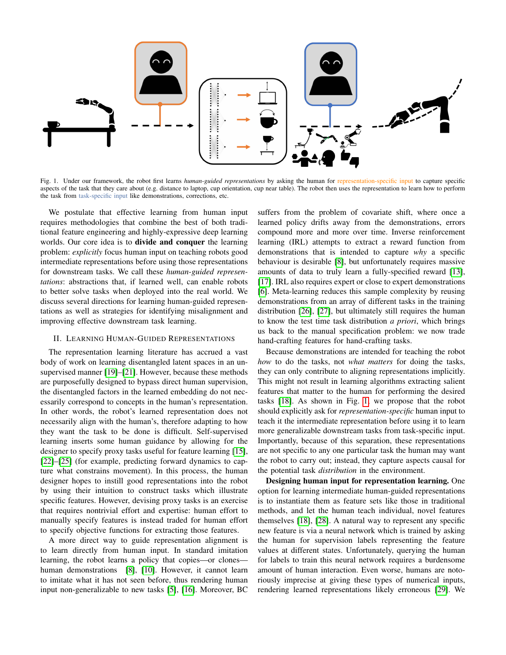

<span id="page-1-0"></span>Fig. 1. Under our framework, the robot first learns *human-guided representations* by asking the human for representation-specific input to capture specific aspects of the task that they care about (e.g. distance to laptop, cup orientation, cup near table). The robot then uses the representation to learn how to perform the task from task-specific input like demonstrations, corrections, etc.

We postulate that effective learning from human input requires methodologies that combine the best of both traditional feature engineering and highly-expressive deep learning worlds. Our core idea is to divide and conquer the learning problem: *explicitly* focus human input on teaching robots good intermediate representations before using those representations for downstream tasks. We call these *human-guided representations*: abstractions that, if learned well, can enable robots to better solve tasks when deployed into the real world. We discuss several directions for learning human-guided representations as well as strategies for identifying misalignment and improving effective downstream task learning.

## II. LEARNING HUMAN-GUIDED REPRESENTATIONS

The representation learning literature has accrued a vast body of work on learning disentangled latent spaces in an unsupervised manner [\[19\]](#page-4-12)–[\[21\]](#page-4-13). However, because these methods are purposefully designed to bypass direct human supervision, the disentangled factors in the learned embedding do not necessarily correspond to concepts in the human's representation. In other words, the robot's learned representation does not necessarily align with the human's, therefore adapting to how they want the task to be done is difficult. Self-supervised learning inserts some human guidance by allowing for the designer to specify proxy tasks useful for feature learning [\[15\]](#page-4-14), [\[22\]](#page-4-15)–[\[25\]](#page-4-16) (for example, predicting forward dynamics to capture what constrains movement). In this process, the human designer hopes to instill good representations into the robot by using their intuition to construct tasks which illustrate specific features. However, devising proxy tasks is an exercise that requires nontrivial effort and expertise: human effort to manually specify features is instead traded for human effort to specify objective functions for extracting those features.

A more direct way to guide representation alignment is to learn directly from human input. In standard imitation learning, the robot learns a policy that copies—or clones— human demonstrations [\[8\]](#page-4-6), [\[10\]](#page-4-5). However, it cannot learn to imitate what it has not seen before, thus rendering human input non-generalizable to new tasks [\[5\]](#page-4-3), [\[16\]](#page-4-8). Moreover, BC suffers from the problem of covariate shift, where once a learned policy drifts away from the demonstrations, errors compound more and more over time. Inverse reinforcement learning (IRL) attempts to extract a reward function from demonstrations that is intended to capture *why* a specific behaviour is desirable [\[8\]](#page-4-6), but unfortunately requires massive amounts of data to truly learn a fully-specified reward [\[13\]](#page-4-9), [\[17\]](#page-4-10). IRL also requires expert or close to expert demonstrations [\[6\]](#page-4-4). Meta-learning reduces this sample complexity by reusing demonstrations from an array of different tasks in the training distribution [\[26\]](#page-4-17), [\[27\]](#page-4-18), but ultimately still requires the human to know the test time task distribution *a priori*, which brings us back to the manual specification problem: we now trade hand-crafting features for hand-crafting tasks.

Because demonstrations are intended for teaching the robot *how* to do the tasks, not *what matters* for doing the tasks, they can only contribute to aligning representations implicitly. This might not result in learning algorithms extracting salient features that matter to the human for performing the desired tasks [\[18\]](#page-4-11). As shown in Fig. [1,](#page-1-0) we propose that the robot should explicitly ask for *representation-specific* human input to teach it the intermediate representation before using it to learn more generalizable downstream tasks from task-specific input. Importantly, because of this separation, these representations are not specific to any one particular task the human may want the robot to carry out; instead, they capture aspects causal for the potential task *distribution* in the environment.

Designing human input for representation learning. One option for learning intermediate human-guided representations is to instantiate them as feature sets like those in traditional methods, and let the human teach individual, novel features themselves [\[18\]](#page-4-11), [\[28\]](#page-4-19). A natural way to represent any specific new feature is via a neural network which is trained by asking the human for supervision labels representing the feature values at different states. Unfortunately, querying the human for labels to train this neural network requires a burdensome amount of human interaction. Even worse, humans are notoriously imprecise at giving these types of numerical inputs, rendering learned representations likely erroneous [\[29\]](#page-4-20). We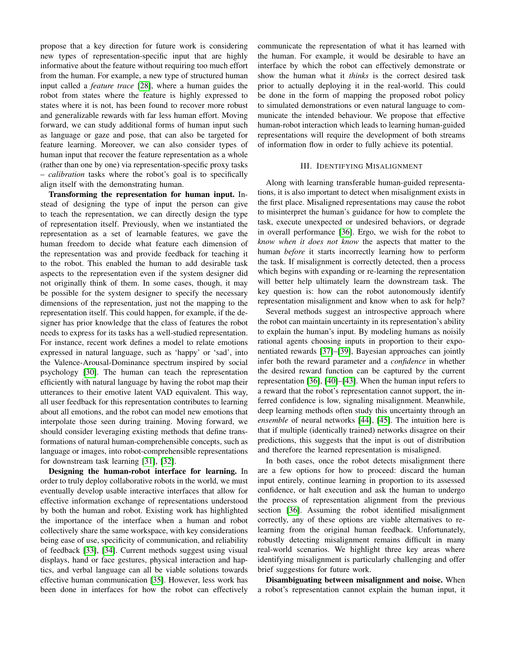propose that a key direction for future work is considering new types of representation-specific input that are highly informative about the feature without requiring too much effort from the human. For example, a new type of structured human input called a *feature trace* [\[28\]](#page-4-19), where a human guides the robot from states where the feature is highly expressed to states where it is not, has been found to recover more robust and generalizable rewards with far less human effort. Moving forward, we can study additional forms of human input such as language or gaze and pose, that can also be targeted for feature learning. Moreover, we can also consider types of human input that recover the feature representation as a whole (rather than one by one) via representation-specific proxy tasks – *calibration* tasks where the robot's goal is to specifically align itself with the demonstrating human.

Transforming the representation for human input. Instead of designing the type of input the person can give to teach the representation, we can directly design the type of representation itself. Previously, when we instantiated the representation as a set of learnable features, we gave the human freedom to decide what feature each dimension of the representation was and provide feedback for teaching it to the robot. This enabled the human to add desirable task aspects to the representation even if the system designer did not originally think of them. In some cases, though, it may be possible for the system designer to specify the necessary dimensions of the representation, just not the mapping to the representation itself. This could happen, for example, if the designer has prior knowledge that the class of features the robot needs to express for its tasks has a well-studied representation. For instance, recent work defines a model to relate emotions expressed in natural language, such as 'happy' or 'sad', into the Valence-Arousal-Dominance spectrum inspired by social psychology [\[30\]](#page-4-21). The human can teach the representation efficiently with natural language by having the robot map their utterances to their emotive latent VAD equivalent. This way, all user feedback for this representation contributes to learning about all emotions, and the robot can model new emotions that interpolate those seen during training. Moving forward, we should consider leveraging existing methods that define transformations of natural human-comprehensible concepts, such as language or images, into robot-comprehensible representations for downstream task learning [\[31\]](#page-4-22), [\[32\]](#page-4-23).

Designing the human-robot interface for learning. In order to truly deploy collaborative robots in the world, we must eventually develop usable interactive interfaces that allow for effective information exchange of representations understood by both the human and robot. Existing work has highlighted the importance of the interface when a human and robot collectively share the same workspace, with key considerations being ease of use, specificity of communication, and reliability of feedback [\[33\]](#page-4-24), [\[34\]](#page-4-25). Current methods suggest using visual displays, hand or face gestures, physical interaction and haptics, and verbal language can all be viable solutions towards effective human communication [\[35\]](#page-5-0). However, less work has been done in interfaces for how the robot can effectively communicate the representation of what it has learned with the human. For example, it would be desirable to have an interface by which the robot can effectively demonstrate or show the human what it *thinks* is the correct desired task prior to actually deploying it in the real-world. This could be done in the form of mapping the proposed robot policy to simulated demonstrations or even natural language to communicate the intended behaviour. We propose that effective human-robot interaction which leads to learning human-guided representations will require the development of both streams of information flow in order to fully achieve its potential.

## III. IDENTIFYING MISALIGNMENT

Along with learning transferable human-guided representations, it is also important to detect when misalignment exists in the first place. Misaligned representations may cause the robot to misinterpret the human's guidance for how to complete the task, execute unexpected or undesired behaviors, or degrade in overall performance [\[36\]](#page-5-1). Ergo, we wish for the robot to *know when it does not know* the aspects that matter to the human *before* it starts incorrectly learning how to perform the task. If misalignment is correctly detected, then a process which begins with expanding or re-learning the representation will better help ultimately learn the downstream task. The key question is: how can the robot autonomously identify representation misalignment and know when to ask for help?

Several methods suggest an introspective approach where the robot can maintain uncertainty in its representation's ability to explain the human's input. By modeling humans as noisily rational agents choosing inputs in proportion to their exponentiated rewards [\[37\]](#page-5-2)–[\[39\]](#page-5-3), Bayesian approaches can jointly infer both the reward parameter and a *confidence* in whether the desired reward function can be captured by the current representation [\[36\]](#page-5-1), [\[40\]](#page-5-4)–[\[43\]](#page-5-5). When the human input refers to a reward that the robot's representation cannot support, the inferred confidence is low, signaling misalignment. Meanwhile, deep learning methods often study this uncertainty through an *ensemble* of neural networks [\[44\]](#page-5-6), [\[45\]](#page-5-7). The intuition here is that if multiple (identically trained) networks disagree on their predictions, this suggests that the input is out of distribution and therefore the learned representation is misaligned.

In both cases, once the robot detects misalignment there are a few options for how to proceed: discard the human input entirely, continue learning in proportion to its assessed confidence, or halt execution and ask the human to undergo the process of representation alignment from the previous section [\[36\]](#page-5-1). Assuming the robot identified misalignment correctly, any of these options are viable alternatives to relearning from the original human feedback. Unfortunately, robustly detecting misalignment remains difficult in many real-world scenarios. We highlight three key areas where identifying misalignment is particularly challenging and offer brief suggestions for future work.

Disambiguating between misalignment and noise. When a robot's representation cannot explain the human input, it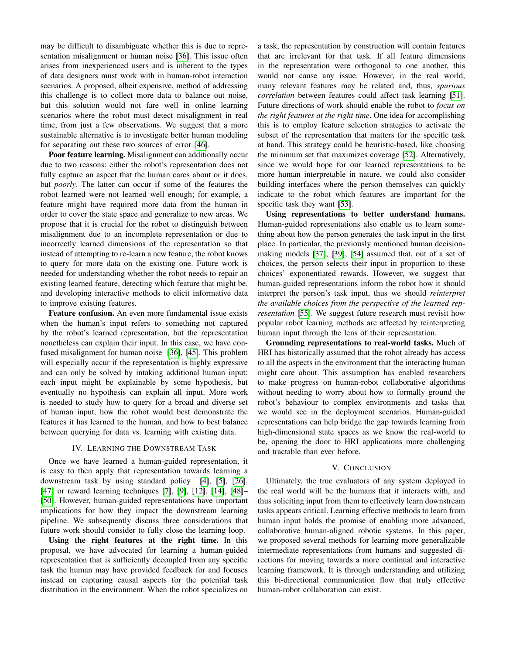may be difficult to disambiguate whether this is due to representation misalignment or human noise [\[36\]](#page-5-1). This issue often arises from inexperienced users and is inherent to the types of data designers must work with in human-robot interaction scenarios. A proposed, albeit expensive, method of addressing this challenge is to collect more data to balance out noise, but this solution would not fare well in online learning scenarios where the robot must detect misalignment in real time, from just a few observations. We suggest that a more sustainable alternative is to investigate better human modeling for separating out these two sources of error [\[46\]](#page-5-8).

Poor feature learning. Misalignment can additionally occur due to two reasons: either the robot's representation does not fully capture an aspect that the human cares about or it does, but *poorly*. The latter can occur if some of the features the robot learned were not learned well enough; for example, a feature might have required more data from the human in order to cover the state space and generalize to new areas. We propose that it is crucial for the robot to distinguish between misalignment due to an incomplete representation or due to incorrectly learned dimensions of the representation so that instead of attempting to re-learn a new feature, the robot knows to query for more data on the existing one. Future work is needed for understanding whether the robot needs to repair an existing learned feature, detecting which feature that might be, and developing interactive methods to elicit informative data to improve existing features.

Feature confusion. An even more fundamental issue exists when the human's input refers to something not captured by the robot's learned representation, but the representation nonetheless can explain their input. In this case, we have confused misalignment for human noise [\[36\]](#page-5-1), [\[45\]](#page-5-7). This problem will especially occur if the representation is highly expressive and can only be solved by intaking additional human input: each input might be explainable by some hypothesis, but eventually no hypothesis can explain all input. More work is needed to study how to query for a broad and diverse set of human input, how the robot would best demonstrate the features it has learned to the human, and how to best balance between querying for data vs. learning with existing data.

## IV. LEARNING THE DOWNSTREAM TASK

Once we have learned a human-guided representation, it is easy to then apply that representation towards learning a downstream task by using standard policy [\[4\]](#page-4-2), [\[5\]](#page-4-3), [\[26\]](#page-4-17), [\[47\]](#page-5-9) or reward learning techniques [\[7\]](#page-4-26), [\[9\]](#page-4-27), [\[12\]](#page-4-28), [\[14\]](#page-4-29), [\[48\]](#page-5-10)– [\[50\]](#page-5-11). However, human-guided representations have important implications for how they impact the downstream learning pipeline. We subsequently discuss three considerations that future work should consider to fully close the learning loop.

Using the right features at the right time. In this proposal, we have advocated for learning a human-guided representation that is sufficiently decoupled from any specific task the human may have provided feedback for and focuses instead on capturing causal aspects for the potential task distribution in the environment. When the robot specializes on a task, the representation by construction will contain features that are irrelevant for that task. If all feature dimensions in the representation were orthogonal to one another, this would not cause any issue. However, in the real world, many relevant features may be related and, thus, *spurious correlation* between features could affect task learning [\[51\]](#page-5-12). Future directions of work should enable the robot to *focus on the right features at the right time*. One idea for accomplishing this is to employ feature selection strategies to activate the subset of the representation that matters for the specific task at hand. This strategy could be heuristic-based, like choosing the minimum set that maximizes coverage [\[52\]](#page-5-13). Alternatively, since we would hope for our learned representations to be more human interpretable in nature, we could also consider building interfaces where the person themselves can quickly indicate to the robot which features are important for the specific task they want [\[53\]](#page-5-14).

Using representations to better understand humans. Human-guided representations also enable us to learn something about how the person generates the task input in the first place. In particular, the previously mentioned human decisionmaking models [\[37\]](#page-5-2), [\[39\]](#page-5-3), [\[54\]](#page-5-15) assumed that, out of a set of choices, the person selects their input in proportion to these choices' exponentiated rewards. However, we suggest that human-guided representations inform the robot how it should interpret the person's task input, thus we should *reinterpret the available choices from the perspective of the learned representation* [\[55\]](#page-5-16). We suggest future research must revisit how popular robot learning methods are affected by reinterpreting human input through the lens of their representation.

Grounding representations to real-world tasks. Much of HRI has historically assumed that the robot already has access to all the aspects in the environment that the interacting human might care about. This assumption has enabled researchers to make progress on human-robot collaborative algorithms without needing to worry about how to formally ground the robot's behaviour to complex environments and tasks that we would see in the deployment scenarios. Human-guided representations can help bridge the gap towards learning from high-dimensional state spaces as we know the real-world to be, opening the door to HRI applications more challenging and tractable than ever before.

### V. CONCLUSION

Ultimately, the true evaluators of any system deployed in the real world will be the humans that it interacts with, and thus soliciting input from them to effectively learn downstream tasks appears critical. Learning effective methods to learn from human input holds the promise of enabling more advanced, collaborative human-aligned robotic systems. In this paper, we proposed several methods for learning more generalizable intermediate representations from humans and suggested directions for moving towards a more continual and interactive learning framework. It is through understanding and utilizing this bi-directional communication flow that truly effective human-robot collaboration can exist.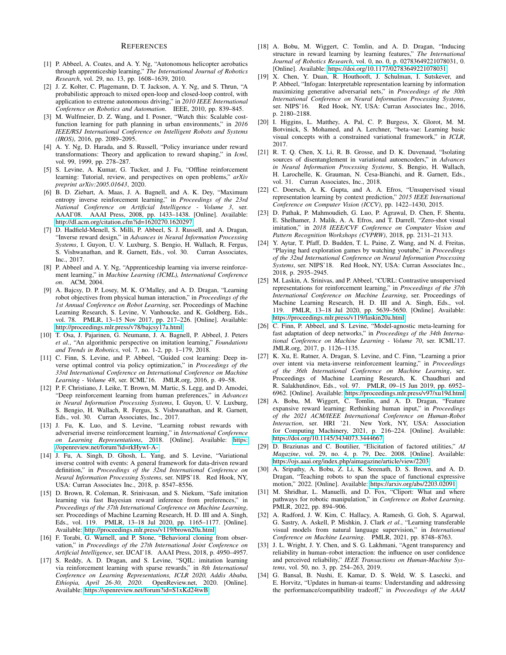#### **REFERENCES**

- <span id="page-4-0"></span>[1] P. Abbeel, A. Coates, and A. Y. Ng, "Autonomous helicopter aerobatics through apprenticeship learning," *The International Journal of Robotics Research*, vol. 29, no. 13, pp. 1608–1639, 2010.
- [2] J. Z. Kolter, C. Plagemann, D. T. Jackson, A. Y. Ng, and S. Thrun, "A probabilistic approach to mixed open-loop and closed-loop control, with application to extreme autonomous driving," in *2010 IEEE International Conference on Robotics and Automation*. IEEE, 2010, pp. 839–845.
- <span id="page-4-1"></span>[3] M. Wulfmeier, D. Z. Wang, and I. Posner, "Watch this: Scalable costfunction learning for path planning in urban environments," in *2016 IEEE/RSJ International Conference on Intelligent Robots and Systems (IROS)*, 2016, pp. 2089–2095.
- <span id="page-4-2"></span>[4] A. Y. Ng, D. Harada, and S. Russell, "Policy invariance under reward transformations: Theory and application to reward shaping," in *Icml*, vol. 99, 1999, pp. 278–287.
- <span id="page-4-3"></span>[5] S. Levine, A. Kumar, G. Tucker, and J. Fu, "Offline reinforcement learning: Tutorial, review, and perspectives on open problems," *arXiv preprint arXiv:2005.01643*, 2020.
- <span id="page-4-4"></span>[6] B. D. Ziebart, A. Maas, J. A. Bagnell, and A. K. Dey, "Maximum entropy inverse reinforcement learning," in *Proceedings of the 23rd National Conference on Artificial Intelligence - Volume 3*, ser. AAAI'08. AAAI Press, 2008, pp. 1433–1438. [Online]. Available: <http://dl.acm.org/citation.cfm?id=1620270.1620297>
- <span id="page-4-26"></span>[7] D. Hadfield-Menell, S. Milli, P. Abbeel, S. J. Russell, and A. Dragan, "Inverse reward design," in *Advances in Neural Information Processing Systems*, I. Guyon, U. V. Luxburg, S. Bengio, H. Wallach, R. Fergus, S. Vishwanathan, and R. Garnett, Eds., vol. 30. Curran Associates, Inc., 2017.
- <span id="page-4-6"></span>[8] P. Abbeel and A. Y. Ng, "Apprenticeship learning via inverse reinforcement learning," in *Machine Learning (ICML), International Conference on*. ACM, 2004.
- <span id="page-4-27"></span>[9] A. Bajcsy, D. P. Losey, M. K. O'Malley, and A. D. Dragan, "Learning robot objectives from physical human interaction," in *Proceedings of the 1st Annual Conference on Robot Learning*, ser. Proceedings of Machine Learning Research, S. Levine, V. Vanhoucke, and K. Goldberg, Eds., vol. 78. PMLR, 13–15 Nov 2017, pp. 217–226. [Online]. Available: <http://proceedings.mlr.press/v78/bajcsy17a.html>
- <span id="page-4-5"></span>[10] T. Osa, J. Pajarinen, G. Neumann, J. A. Bagnell, P. Abbeel, J. Peters *et al.*, "An algorithmic perspective on imitation learning," *Foundations and Trends in Robotics*, vol. 7, no. 1-2, pp. 1–179, 2018.
- <span id="page-4-7"></span>[11] C. Finn, S. Levine, and P. Abbeel, "Guided cost learning: Deep inverse optimal control via policy optimization," in *Proceedings of the 33rd International Conference on International Conference on Machine Learning - Volume 48*, ser. ICML'16. JMLR.org, 2016, p. 49–58.
- <span id="page-4-28"></span>[12] P. F. Christiano, J. Leike, T. Brown, M. Martic, S. Legg, and D. Amodei, "Deep reinforcement learning from human preferences," in *Advances in Neural Information Processing Systems*, I. Guyon, U. V. Luxburg, S. Bengio, H. Wallach, R. Fergus, S. Vishwanathan, and R. Garnett, Eds., vol. 30. Curran Associates, Inc., 2017.
- <span id="page-4-9"></span>[13] J. Fu, K. Luo, and S. Levine, "Learning robust rewards with adverserial inverse reinforcement learning," in *International Conference on Learning Representations*, 2018. [Online]. Available: [https:](https://openreview.net/forum?id=rkHywl-A-) [//openreview.net/forum?id=rkHywl-A-](https://openreview.net/forum?id=rkHywl-A-)
- <span id="page-4-29"></span>[14] J. Fu, A. Singh, D. Ghosh, L. Yang, and S. Levine, "Variational inverse control with events: A general framework for data-driven reward definition," in *Proceedings of the 32nd International Conference on Neural Information Processing Systems*, ser. NIPS'18. Red Hook, NY, USA: Curran Associates Inc., 2018, p. 8547–8556.
- <span id="page-4-14"></span>[15] D. Brown, R. Coleman, R. Srinivasan, and S. Niekum, "Safe imitation learning via fast Bayesian reward inference from preferences," in *Proceedings of the 37th International Conference on Machine Learning*, ser. Proceedings of Machine Learning Research, H. D. III and A. Singh, Eds., vol. 119. PMLR, 13–18 Jul 2020, pp. 1165–1177. [Online]. Available:<http://proceedings.mlr.press/v119/brown20a.html>
- <span id="page-4-8"></span>[16] F. Torabi, G. Warnell, and P. Stone, "Behavioral cloning from observation," in *Proceedings of the 27th International Joint Conference on Artificial Intelligence*, ser. IJCAI'18. AAAI Press, 2018, p. 4950–4957.
- <span id="page-4-10"></span>[17] S. Reddy, A. D. Dragan, and S. Levine, "SQIL: imitation learning via reinforcement learning with sparse rewards," in *8th International Conference on Learning Representations, ICLR 2020, Addis Ababa, Ethiopia, April 26-30, 2020*. OpenReview.net, 2020. [Online]. Available:<https://openreview.net/forum?id=S1xKd24twB>
- <span id="page-4-11"></span>[18] A. Bobu, M. Wiggert, C. Tomlin, and A. D. Dragan, "Inducing structure in reward learning by learning features," *The International Journal of Robotics Research*, vol. 0, no. 0, p. 02783649221078031, 0. [Online]. Available:<https://doi.org/10.1177/02783649221078031>
- <span id="page-4-12"></span>[19] X. Chen, Y. Duan, R. Houthooft, J. Schulman, I. Sutskever, and P. Abbeel, "Infogan: Interpretable representation learning by information maximizing generative adversarial nets," in *Proceedings of the 30th International Conference on Neural Information Processing Systems*, ser. NIPS'16. Red Hook, NY, USA: Curran Associates Inc., 2016, p. 2180–2188.
- [20] I. Higgins, L. Matthey, A. Pal, C. P. Burgess, X. Glorot, M. M. Botvinick, S. Mohamed, and A. Lerchner, "beta-vae: Learning basic visual concepts with a constrained variational framework," in *ICLR*, 2017.
- <span id="page-4-13"></span>[21] R. T. Q. Chen, X. Li, R. B. Grosse, and D. K. Duvenaud, "Isolating sources of disentanglement in variational autoencoders," in *Advances in Neural Information Processing Systems*, S. Bengio, H. Wallach, H. Larochelle, K. Grauman, N. Cesa-Bianchi, and R. Garnett, Eds., vol. 31. Curran Associates, Inc., 2018.
- <span id="page-4-15"></span>[22] C. Doersch, A. K. Gupta, and A. A. Efros, "Unsupervised visual representation learning by context prediction," *2015 IEEE International Conference on Computer Vision (ICCV)*, pp. 1422–1430, 2015.
- [23] D. Pathak, P. Mahmoudieh, G. Luo, P. Agrawal, D. Chen, F. Shentu, E. Shelhamer, J. Malik, A. A. Efros, and T. Darrell, "Zero-shot visual imitation," in *2018 IEEE/CVF Conference on Computer Vision and Pattern Recognition Workshops (CVPRW)*, 2018, pp. 2131–21 313.
- [24] Y. Aytar, T. Pfaff, D. Budden, T. L. Paine, Z. Wang, and N. d. Freitas, "Playing hard exploration games by watching youtube," in *Proceedings of the 32nd International Conference on Neural Information Processing Systems*, ser. NIPS'18. Red Hook, NY, USA: Curran Associates Inc., 2018, p. 2935–2945.
- <span id="page-4-16"></span>[25] M. Laskin, A. Srinivas, and P. Abbeel, "CURL: Contrastive unsupervised representations for reinforcement learning," in *Proceedings of the 37th International Conference on Machine Learning*, ser. Proceedings of Machine Learning Research, H. D. III and A. Singh, Eds., vol. 119. PMLR, 13–18 Jul 2020, pp. 5639–5650. [Online]. Available: <https://proceedings.mlr.press/v119/laskin20a.html>
- <span id="page-4-17"></span>[26] C. Finn, P. Abbeel, and S. Levine, "Model-agnostic meta-learning for fast adaptation of deep networks," in *Proceedings of the 34th International Conference on Machine Learning - Volume 70*, ser. ICML'17. JMLR.org, 2017, p. 1126–1135.
- <span id="page-4-18"></span>[27] K. Xu, E. Ratner, A. Dragan, S. Levine, and C. Finn, "Learning a prior over intent via meta-inverse reinforcement learning," in *Proceedings of the 36th International Conference on Machine Learning*, ser. Proceedings of Machine Learning Research, K. Chaudhuri and R. Salakhutdinov, Eds., vol. 97. PMLR, 09–15 Jun 2019, pp. 6952– 6962. [Online]. Available:<https://proceedings.mlr.press/v97/xu19d.html>
- <span id="page-4-19"></span>[28] A. Bobu, M. Wiggert, C. Tomlin, and A. D. Dragan, "Feature expansive reward learning: Rethinking human input," in *Proceedings of the 2021 ACM/IEEE International Conference on Human-Robot Interaction*, ser. HRI '21. New York, NY, USA: Association for Computing Machinery, 2021, p. 216–224. [Online]. Available: <https://doi.org/10.1145/3434073.3444667>
- <span id="page-4-20"></span>[29] D. Braziunas and C. Boutilier, "Elicitation of factored utilities," *AI Magazine*, vol. 29, no. 4, p. 79, Dec. 2008. [Online]. Available: <https://ojs.aaai.org/index.php/aimagazine/article/view/2203>
- <span id="page-4-21"></span>[30] A. Sripathy, A. Bobu, Z. Li, K. Sreenath, D. S. Brown, and A. D. Dragan, "Teaching robots to span the space of functional expressive motion," 2022. [Online]. Available:<https://arxiv.org/abs/2203.02091>
- <span id="page-4-22"></span>[31] M. Shridhar, L. Manuelli, and D. Fox, "Cliport: What and where pathways for robotic manipulation," in *Conference on Robot Learning*. PMLR, 2022, pp. 894–906.
- <span id="page-4-23"></span>[32] A. Radford, J. W. Kim, C. Hallacy, A. Ramesh, G. Goh, S. Agarwal, G. Sastry, A. Askell, P. Mishkin, J. Clark *et al.*, "Learning transferable visual models from natural language supervision," in *International Conference on Machine Learning*. PMLR, 2021, pp. 8748–8763.
- <span id="page-4-24"></span>[33] J. L. Wright, J. Y. Chen, and S. G. Lakhmani, "Agent transparency and reliability in human–robot interaction: the influence on user confidence and perceived reliability," *IEEE Transactions on Human-Machine Systems*, vol. 50, no. 3, pp. 254–263, 2019.
- <span id="page-4-25"></span>[34] G. Bansal, B. Nushi, E. Kamar, D. S. Weld, W. S. Lasecki, and E. Horvitz, "Updates in human-ai teams: Understanding and addressing the performance/compatibility tradeoff," in *Proceedings of the AAAI*